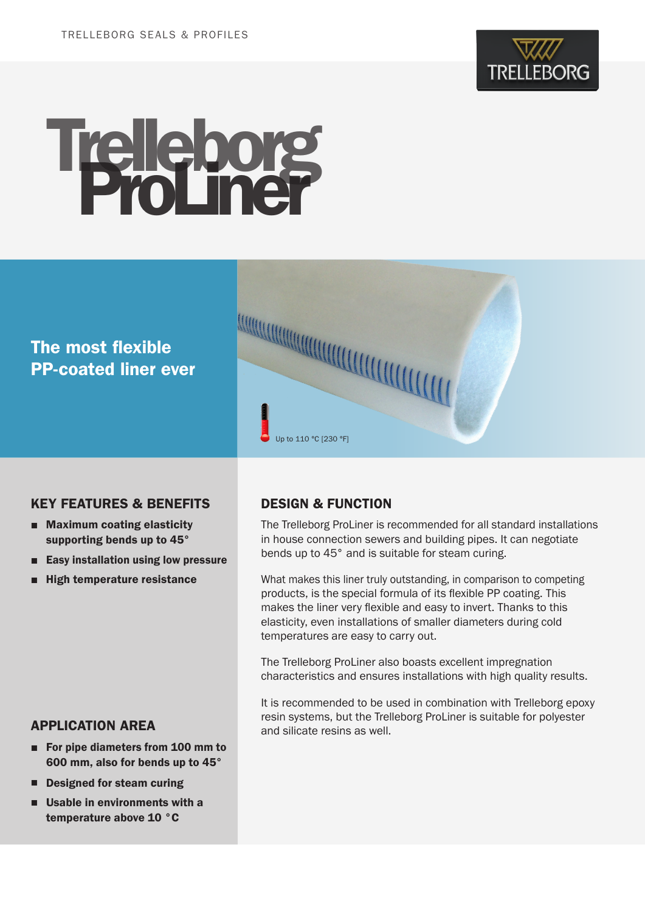

# Trelleborg

# The most flexible PP-coated liner ever



# KEY FEATURES & BENEFITS

- Maximum coating elasticity supporting bends up to 45°
- Easy installation using low pressure
- **High temperature resistance**

# DESIGN & FUNCTION

The Trelleborg ProLiner is recommended for all standard installations in house connection sewers and building pipes. It can negotiate bends up to 45° and is suitable for steam curing.

What makes this liner truly outstanding, in comparison to competing products, is the special formula of its flexible PP coating. This makes the liner very flexible and easy to invert. Thanks to this elasticity, even installations of smaller diameters during cold temperatures are easy to carry out.

The Trelleborg ProLiner also boasts excellent impregnation characteristics and ensures installations with high quality results.

It is recommended to be used in combination with Trelleborg epoxy resin systems, but the Trelleborg ProLiner is suitable for polyester and silicate resins as well.

# APPLICATION AREA

- For pipe diameters from 100 mm to 600 mm, also for bends up to 45°
- Designed for steam curing
- **Usable in environments with a** temperature above 10 °C